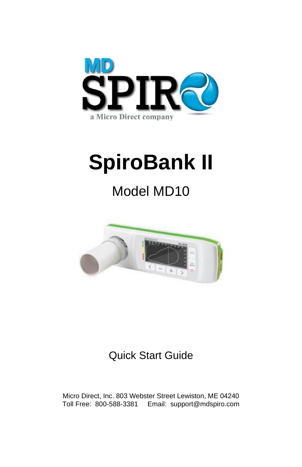

# **SpiroBank II**

## Model MD10



### Quick Start Guide

Micro Direct, Inc. 803 Webster Street Lewiston, ME 04240 Toll Free: 800-588-3381 Email: support@mdspiro.com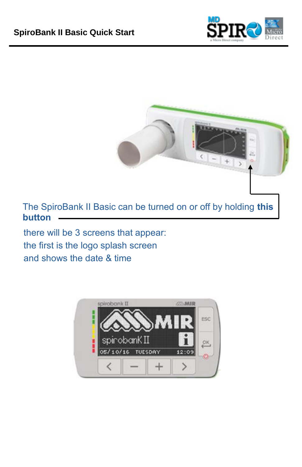



there will be 3 screens that appear: the first is the logo splash screen and shows the date & time

**button**

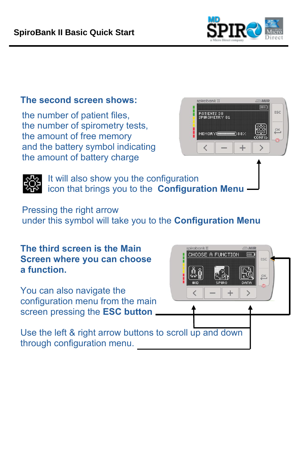

#### **The second screen shows:**

the number of patient files, the number of spirometry tests, the amount of free memory and the battery symbol indicating the amount of battery charge





It will also show you the configuration icon that brings you to the **Configuration Menu**

Pressing the right arrow under this symbol will take you to the **Configuration Menu**

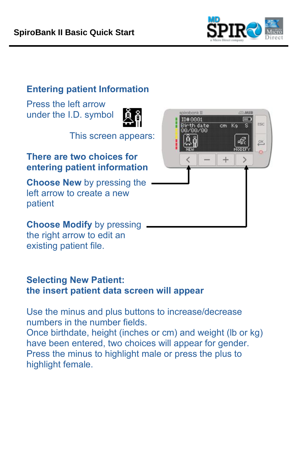

#### **Entering patient Information**

Press the left arrow under the I.D. symbol



This screen appears:

#### **There are two choices for entering patient information**

**Choose New** by pressing the left arrow to create a new patient

**Choose Modify** by pressing the right arrow to edit an existing patient file.

#### **Selecting New Patient: the insert patient data screen will appear**

Use the minus and plus buttons to increase/decrease numbers in the number fields. Once birthdate, height (inches or cm) and weight (lb or kg) have been entered, two choices will appear for gender. Press the minus to highlight male or press the plus to highlight female.

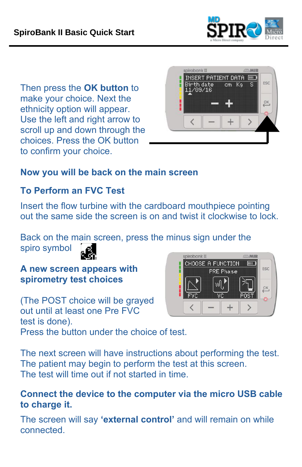

Then press the **OK button** to make your choice. Next the ethnicity option will appear. Use the left and right arrow to scroll up and down through the choices. Press the OK button to confirm your choice.



#### **Now you will be back on the main screen**

#### **To Perform an FVC Test**

spiro symbol

Insert the flow turbine with the cardboard mouthpiece pointing out the same side the screen is on and twist it clockwise to lock.

Back on the main screen, press the minus sign under the



**A new screen appears with spirometry test choices**

(The POST choice will be grayed out until at least one Pre FVC test is done). Press the button under the choice of test.



The next screen will have instructions about performing the test. The patient may begin to perform the test at this screen. The test will time out if not started in time.

#### **Connect the device to the computer via the micro USB cable to charge it.**

The screen will say **'external control'** and will remain on while connected.